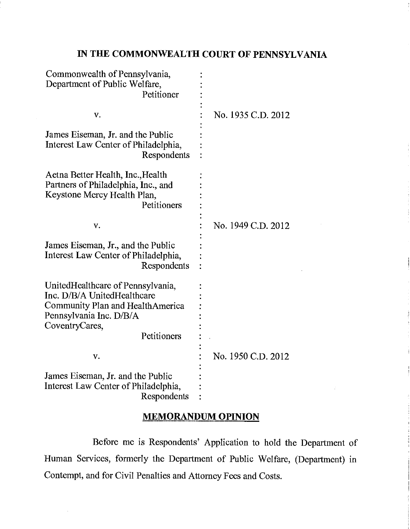# IN THE COMMONWEALTH COURT OF PENNSYLVANIA

| Commonwealth of Pennsylvania,<br>Department of Public Welfare,<br>Petitioner                                                                                     |                    |
|------------------------------------------------------------------------------------------------------------------------------------------------------------------|--------------------|
| V.                                                                                                                                                               | No. 1935 C.D. 2012 |
| James Eiseman, Jr. and the Public<br>Interest Law Center of Philadelphia,<br>Respondents                                                                         |                    |
| Aetna Better Health, Inc., Health<br>Partners of Philadelphia, Inc., and<br>Keystone Mercy Health Plan,<br>Petitioners                                           |                    |
| v.                                                                                                                                                               | No. 1949 C.D. 2012 |
| James Eiseman, Jr., and the Public<br>Interest Law Center of Philadelphia,<br>Respondents                                                                        |                    |
| UnitedHealthcare of Pennsylvania,<br>Inc. D/B/A UnitedHealthcare<br>Community Plan and HealthAmerica<br>Pennsylvania Inc. D/B/A<br>CoventryCares,<br>Petitioners |                    |
| V.                                                                                                                                                               | No. 1950 C.D. 2012 |
| James Eiseman, Jr. and the Public<br>Interest Law Center of Philadelphia,<br>Respondents                                                                         |                    |

# MEMORANDUM OPINION

Before me is Respondents' Application to hold the Department of Human Services, formerly the Department of Public Welfare, (Department) in Contempt, and for Civil Penalties and Attorney Fees and Costs.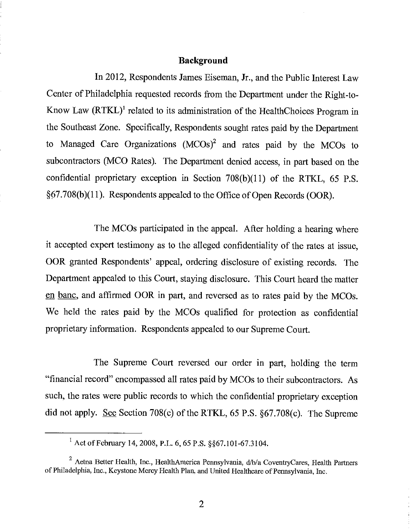#### Background

In 2012, Respondents James Eiseman, Jr., and the Public Interest Law Center of Philadelphia requested records from the Department under the Right -to-Know Law (RTKL)' related to its administration of the HealthChoices Program in the Southeast Zone. Specifically, Respondents sought rates paid by the Department to Managed Care Organizations  $(MCOs)^2$  and rates paid by the MCOs to subcontractors (MCO Rates). The Department denied access, in part based on the confidential proprietary exception in Section 708(b)(11) of the RTKL, 65 P.S. §67.708(b)(11). Respondents appealed to the Office of Open Records (OOR).

The MCOs participated in the appeal. After holding a hearing where it accepted expert testimony as to the alleged confidentiality of the rates at issue, OOR granted Respondents' appeal, ordering disclosure of existing records. The Department appealed to this Court, staying disclosure. This Court heard the matter en banc, and affirmed OOR in part, and reversed as to rates paid by the MCOs. We held the rates paid by the MCOs qualified for protection as confidential proprietary information. Respondents appealed to our Supreme Court.

The Supreme Court reversed our order in part, holding the term "financial record" encompassed all rates paid by MCOs to their subcontractors. As such, the rates were public records to which the confidential proprietary exception did not apply. See Section 708(c) of the RTKL, 65 P.S. §67.708(c). The Supreme

 $^{1}$  Act of February 14, 2008, P.L. 6, 65 P.S. § §67.101-67.3104.

 $2$  Aetna Better Health, Inc., HealthAmerica Pennsylvania,  $d/b/a$  CoventryCares, Health Partners of Philadelphia, Inc., Keystone Mercy Health Plan, and United Healthcare of Pennsylvania, Inc.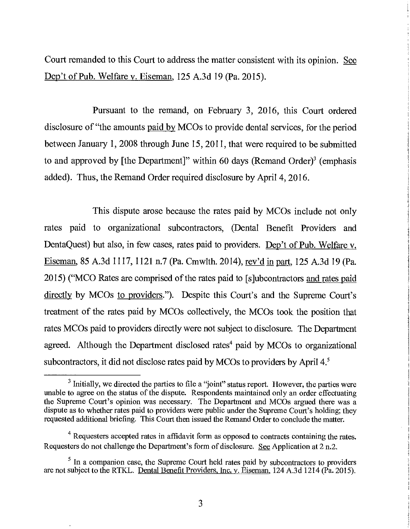Court remanded to this Court to address the matter consistent with its opinion. See Dep't of Pub. Welfare v. Eiseman, 125 A.3d 19 (Pa. 2015).

Pursuant to the remand, on February 3, 2016, this Court ordered disclosure of "the amounts paid by MCOs to provide dental services, for the period between January 1, 2008 through June 15, 2011, that were required to be submitted to and approved by [the Department]" within 60 days (Remand Order) $3$  (emphasis added). Thus, the Remand Order required disclosure by April 4, 2016.

This dispute arose because the rates paid by MCOs include not only rates paid to organizational subcontractors, (Dental Benefit Providers and DentaQuest) but also, in few cases, rates paid to providers. Dep't of Pub. Welfare v. Eiseman, 85 A.3d 1117, 1121 n.7 (Pa. Cmwlth. 2014), rev'd in part, 125 A.3d 19 (Pa. 2015) ("MCO Rates are comprised of the rates paid to [s]ubcontractors and rates paid directly by MCOs to providers."). Despite this Court's and the Supreme Court's treatment of the rates paid by MCOs collectively, the MCOs took the position that rates MCOs paid to providers directly were not subject to disclosure. The Department agreed. Although the Department disclosed rates<sup>4</sup> paid by MCOs to organizational subcontractors, it did not disclose rates paid by MCOs to providers by April 4.<sup>5</sup>

 $3$  Initially, we directed the parties to file a "joint" status report. However, the parties were unable to agree on the status of the dispute. Respondents maintained only an order effectuating the Supreme Court's opinion was necessary. The Department and MCOs argued there was a dispute as to whether rates paid to providers were public under the Supreme Court's holding; they requested additional briefing. This Court then issued the Remand Order to conclude the matter.

 $4$  Requesters accepted rates in affidavit form as opposed to contracts containing the rates. Requesters do not challenge the Department's form of disclosure. See Application at 2 n.2.

 $<sup>5</sup>$  In a companion case, the Supreme Court held rates paid by subcontractors to providers</sup> are not subject to the RTKL. Dental Benefit Providers, Inc. v. Eiseman, 124 A.3d 1214 (Pa. 2015).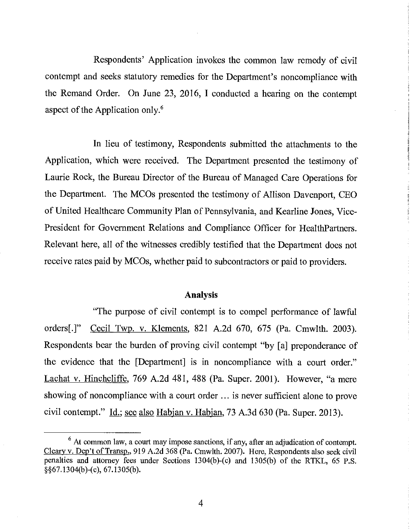Respondents' Application invokes the common law remedy of civil contempt and seeks statutory remedies for the Department's noncompliance with the Remand Order. On June 23, 2016, I conducted a hearing on the contempt aspect of the Application only.'

In lieu of testimony, Respondents submitted the attachments to the Application, which were received. The Department presented the testimony of Laurie Rock, the Bureau Director of the Bureau of Managed Care Operations for the Department. The MCOs presented the testimony of Allison Davenport, CEO of United Healthcare Community Plan of Pennsylvania, and Kearline Jones, Vice - President for Government Relations and Compliance Officer for HealthPartners. Relevant here, all of the witnesses credibly testified that the Department does not receive rates paid by MCOs, whether paid to subcontractors or paid to providers.

### Analysis

"The purpose of civil contempt is to compel performance of lawful orders[.]" Cecil Twp. v. Klements, 821 A.2d 670, 675 (Pa. Cmwlth. 2003). Respondents bear the burden of proving civil contempt "by [a] preponderance of the evidence that the [Department] is in noncompliance with a court order." Lachat v. Hinchcliffe, 769 A.2d 481, 488 (Pa. Super. 2001). However, "a mere showing of noncompliance with a court order ... is never sufficient alone to prove civil contempt." Id.; see also Habjan v. Habjan, 73 A.3d 630 (Pa. Super. 2013).

4

 $6$  At common law, a court may impose sanctions, if any, after an adjudication of contempt. Cleary v. Dep't of Transp., 919 A.2d 368 (Pa. Cmwlth. 2007). Here, Respondents also seek civil penalties and attorney fees under Sections 1304(b) -(c) and 1305(b) of the RTKL, 65 P.S. § §67.1304(b) -(c), 67.1305(b).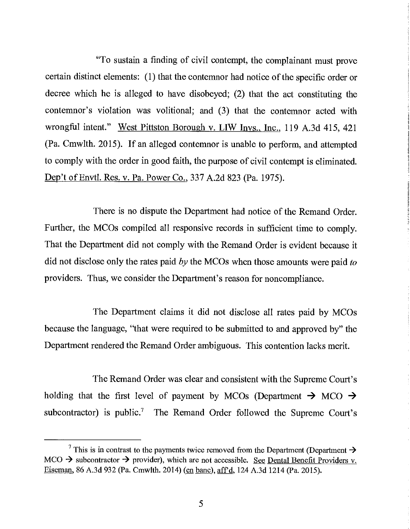"To sustain a finding of civil contempt, the complainant must prove certain distinct elements: (1) that the contemnor had notice of the specific order or decree which he is alleged to have disobeyed; (2) that the act constituting the contemnor's violation was volitional; and (3) that the contemnor acted with wrongful intent." West Pittston Borough v. LIW Invs., Inc., 119 A.3d 415, 421 (Pa. Cmwlth. 2015). If an alleged contemnor is unable to perform, and attempted to comply with the order in good faith, the purpose of civil contempt is eliminated. Dep't of Envtl. Res. v. Pa. Power Co., 337 A.2d 823 (Pa. 1975).

There is no dispute the Department had notice of the Remand Order. Further, the MCOs compiled all responsive records in sufficient time to comply. That the Department did not comply with the Remand Order is evident because it did not disclose only the rates paid by the MCOs when those amounts were paid to providers. Thus, we consider the Department's reason for noncompliance.

The Department claims it did not disclose all rates paid by MCOs because the language, "that were required to be submitted to and approved by" the Department rendered the Remand Order ambiguous. This contention lacks merit.

The Remand Order was clear and consistent with the Supreme Court's holding that the first level of payment by MCOs (Department  $\rightarrow$  MCO  $\rightarrow$ subcontractor) is public.<sup>7</sup> The Remand Order followed the Supreme Court's

<sup>&</sup>lt;sup>7</sup> This is in contrast to the payments twice removed from the Department (Department  $\rightarrow$ MCO  $\rightarrow$  subcontractor  $\rightarrow$  provider), which are not accessible. See Dental Benefit Providers v. Eiseman, 86 A.3d 932 (Pa. Cmwlth. 2014) (en banc), aff'd, 124 A.3d 1214 (Pa. 2015).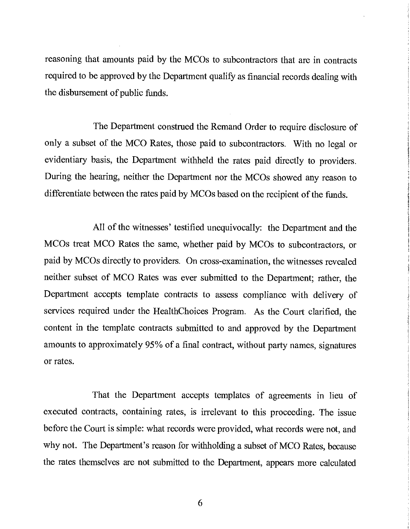reasoning that amounts paid by the MCOs to subcontractors that are in contracts required to be approved by the Department qualify as financial records dealing with the disbursement of public funds.

The Department construed the Remand Order to require disclosure of only a subset of the MCO Rates, those paid to subcontractors. With no legal or evidentiary basis, the Department withheld the rates paid directly to providers. During the hearing, neither the Department nor the MCOs showed any reason to differentiate between the rates paid by MCOs based on the recipient of the funds.

All of the witnesses' testified unequivocally: the Department and the MCOs treat MCO Rates the same, whether paid by MCOs to subcontractors, or paid by MCOs directly to providers. On cross -examination, the witnesses revealed neither subset of MCO Rates was ever submitted to the Department; rather, the Department accepts template contracts to assess compliance with delivery of services required under the HealthChoices Program. As the Court clarified, the content in the template contracts submitted to and approved by the Department amounts to approximately 95% of a final contract, without party names, signatures or rates.

That the Department accepts templates of agreements in lieu of executed contracts, containing rates, is irrelevant to this proceeding. The issue before the Court is simple: what records were provided, what records were not, and why not. The Department's reason for withholding a subset of MCO Rates, because the rates themselves are not submitted to the Department, appears more calculated

6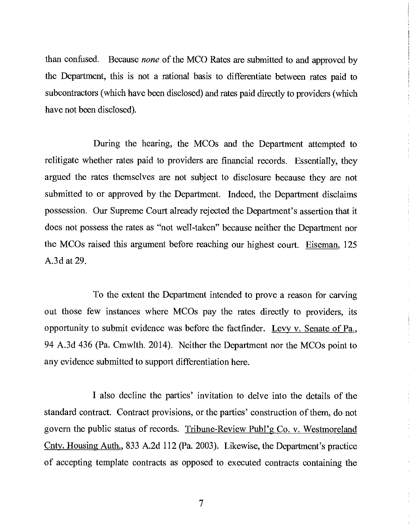than confused. Because none of the MCO Rates are submitted to and approved by the Department, this is not a rational basis to differentiate between rates paid to subcontractors (which have been disclosed) and rates paid directly to providers (which have not been disclosed).

During the hearing, the MCOs and the Department attempted to relitigate whether rates paid to providers are financial records. Essentially, they argued the rates themselves are not subject to disclosure because they are not submitted to or approved by the Department. Indeed, the Department disclaims possession. Our Supreme Court already rejected the Department's assertion that it does not possess the rates as "not well-taken" because neither the Department nor the MCOs raised this argument before reaching our highest court. Eiseman, 125 A.3d at 29.

To the extent the Department intended to prove a reason for carving out those few instances where MCOs pay the rates directly to providers, its opportunity to submit evidence was before the factfinder. Levy v. Senate of Pa., 94 A.3d 436 (Pa. Cmwlth. 2014). Neither the Department nor the MCOs point to any evidence submitted to support differentiation here.

I also decline the parties' invitation to delve into the details of the standard contract. Contract provisions, or the parties' construction of them, do not govern the public status of records. Tribune -Review Publ'g Co. v. Westmoreland Cnty. Housing Auth., 833 A.2d 112 (Pa. 2003). Likewise, the Department's practice of accepting template contracts as opposed to executed contracts containing the

7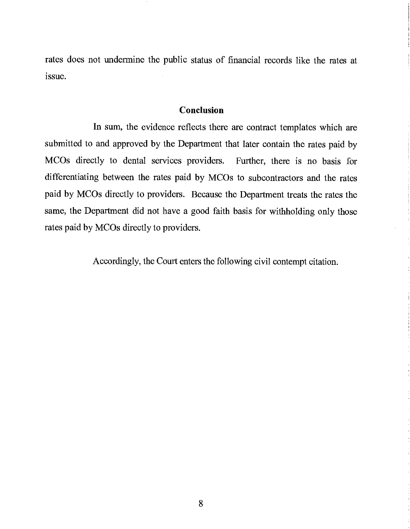rates does not undermine the public status of financial records like the rates at issue.

# Conclusion

In sum, the evidence reflects there are contract templates which are submitted to and approved by the Department that later contain the rates paid by MCOs directly to dental services providers. Further, there is no basis for differentiating between the rates paid by MCOs to subcontractors and the rates paid by MCOs directly to providers. Because the Department treats the rates the same, the Department did not have a good faith basis for withholding only those rates paid by MCOs directly to providers.

Accordingly, the Court enters the following civil contempt citation.